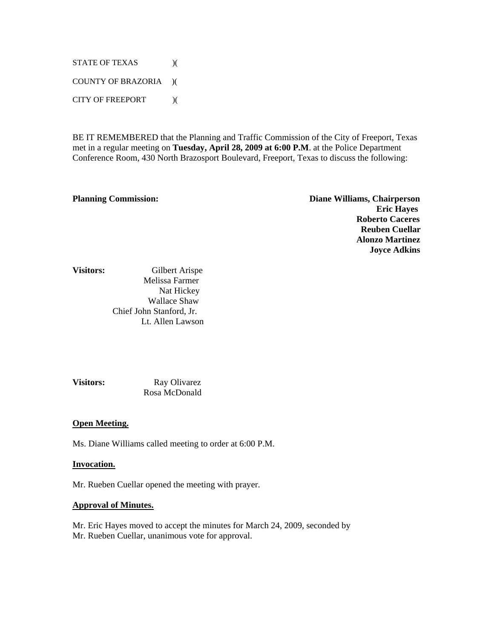STATE OF TEXAS  $)($ COUNTY OF BRAZORIA )( CITY OF FREEPORT )(

BE IT REMEMBERED that the Planning and Traffic Commission of the City of Freeport, Texas met in a regular meeting on **Tuesday, April 28, 2009 at 6:00 P.M**. at the Police Department Conference Room, 430 North Brazosport Boulevard, Freeport, Texas to discuss the following:

**Planning Commission: Diane Williams, Chairperson Eric Hayes Roberto Caceres Reuben Cuellar Alonzo Martinez Joyce Adkins** 

# **Visitors:** Gilbert ArispeMelissa Farmer Nat HickeyWallace ShawChief John Stanford, Jr. Lt. Allen Lawson

**Visitors:** Ray Olivarez Rosa McDonald

#### **Open Meeting.**

Ms. Diane Williams called meeting to order at 6:00 P.M.

#### **Invocation.**

Mr. Rueben Cuellar opened the meeting with prayer.

#### **Approval of Minutes.**

Mr. Eric Hayes moved to accept the minutes for March 24, 2009, seconded by Mr. Rueben Cuellar, unanimous vote for approval.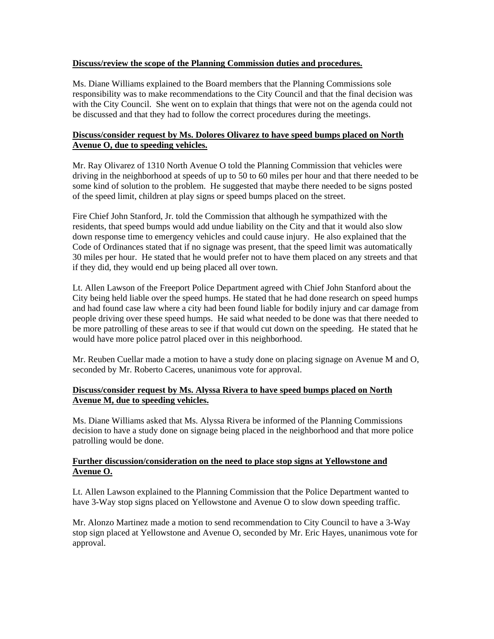#### **Discuss/review the scope of the Planning Commission duties and procedures.**

Ms. Diane Williams explained to the Board members that the Planning Commissions sole responsibility was to make recommendations to the City Council and that the final decision was with the City Council. She went on to explain that things that were not on the agenda could not be discussed and that they had to follow the correct procedures during the meetings.

# **Discuss/consider request by Ms. Dolores Olivarez to have speed bumps placed on North Avenue O, due to speeding vehicles.**

Mr. Ray Olivarez of 1310 North Avenue O told the Planning Commission that vehicles were driving in the neighborhood at speeds of up to 50 to 60 miles per hour and that there needed to be some kind of solution to the problem. He suggested that maybe there needed to be signs posted of the speed limit, children at play signs or speed bumps placed on the street.

Fire Chief John Stanford, Jr. told the Commission that although he sympathized with the residents, that speed bumps would add undue liability on the City and that it would also slow down response time to emergency vehicles and could cause injury. He also explained that the Code of Ordinances stated that if no signage was present, that the speed limit was automatically 30 miles per hour. He stated that he would prefer not to have them placed on any streets and that if they did, they would end up being placed all over town.

Lt. Allen Lawson of the Freeport Police Department agreed with Chief John Stanford about the City being held liable over the speed humps. He stated that he had done research on speed humps and had found case law where a city had been found liable for bodily injury and car damage from people driving over these speed humps. He said what needed to be done was that there needed to be more patrolling of these areas to see if that would cut down on the speeding. He stated that he would have more police patrol placed over in this neighborhood.

Mr. Reuben Cuellar made a motion to have a study done on placing signage on Avenue M and O, seconded by Mr. Roberto Caceres, unanimous vote for approval.

# **Discuss/consider request by Ms. Alyssa Rivera to have speed bumps placed on North Avenue M, due to speeding vehicles.**

Ms. Diane Williams asked that Ms. Alyssa Rivera be informed of the Planning Commissions decision to have a study done on signage being placed in the neighborhood and that more police patrolling would be done.

# **Further discussion/consideration on the need to place stop signs at Yellowstone and Avenue O.**

Lt. Allen Lawson explained to the Planning Commission that the Police Department wanted to have 3-Way stop signs placed on Yellowstone and Avenue O to slow down speeding traffic.

Mr. Alonzo Martinez made a motion to send recommendation to City Council to have a 3-Way stop sign placed at Yellowstone and Avenue O, seconded by Mr. Eric Hayes, unanimous vote for approval.